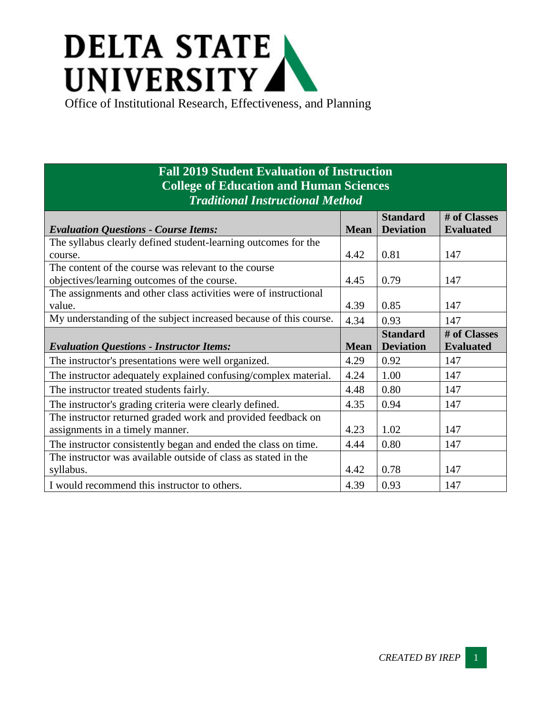## **DELTA STATE** UNIVERSITY

Office of Institutional Research, Effectiveness, and Planning

## **Fall 2019 Student Evaluation of Instruction College of Education and Human Sciences** *Traditional Instructional Method*

|                                                                   |             | <b>Standard</b>  | # of Classes     |
|-------------------------------------------------------------------|-------------|------------------|------------------|
| <b>Evaluation Questions - Course Items:</b>                       | <b>Mean</b> | <b>Deviation</b> | <b>Evaluated</b> |
| The syllabus clearly defined student-learning outcomes for the    |             |                  |                  |
| course.                                                           | 4.42        | 0.81             | 147              |
| The content of the course was relevant to the course              |             |                  |                  |
| objectives/learning outcomes of the course.                       | 4.45        | 0.79             | 147              |
| The assignments and other class activities were of instructional  |             |                  |                  |
| value.                                                            | 4.39        | 0.85             | 147              |
| My understanding of the subject increased because of this course. | 4.34        | 0.93             | 147              |
|                                                                   |             | <b>Standard</b>  | # of Classes     |
| <b>Evaluation Questions - Instructor Items:</b>                   | <b>Mean</b> | <b>Deviation</b> | <b>Evaluated</b> |
| The instructor's presentations were well organized.               | 4.29        | 0.92             | 147              |
| The instructor adequately explained confusing/complex material.   | 4.24        | 1.00             | 147              |
| The instructor treated students fairly.                           | 4.48        | 0.80             | 147              |
| The instructor's grading criteria were clearly defined.           | 4.35        | 0.94             | 147              |
| The instructor returned graded work and provided feedback on      |             |                  |                  |
| assignments in a timely manner.                                   | 4.23        | 1.02             | 147              |
| The instructor consistently began and ended the class on time.    | 4.44        | 0.80             | 147              |
| The instructor was available outside of class as stated in the    |             |                  |                  |
| syllabus.                                                         | 4.42        | 0.78             | 147              |
| I would recommend this instructor to others.                      | 4.39        | 0.93             | 147              |